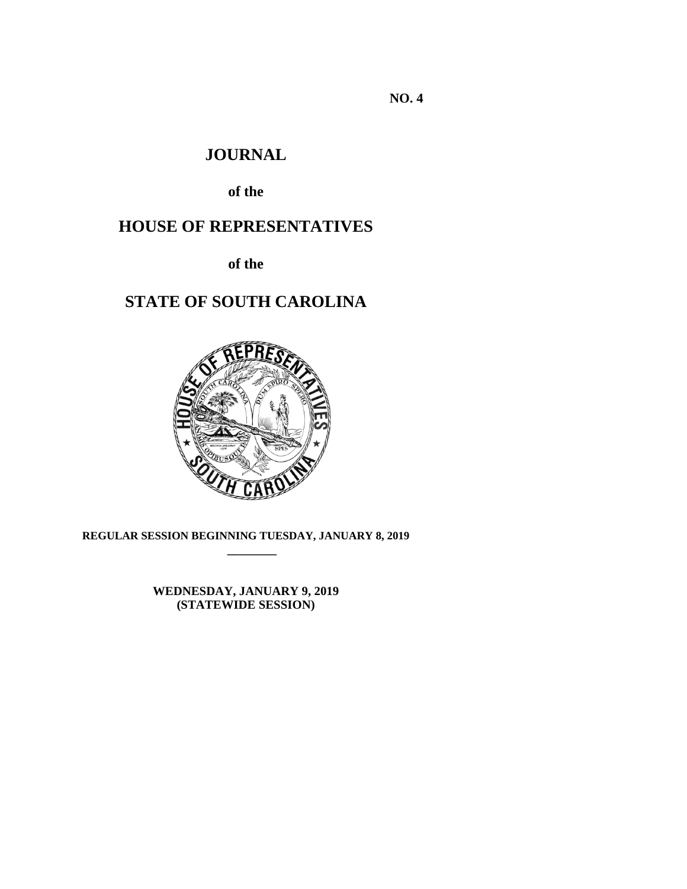**NO. 4** 

# **JOURNAL**

**of the**

# **HOUSE OF REPRESENTATIVES**

**of the**

# **STATE OF SOUTH CAROLINA**



**REGULAR SESSION BEGINNING TUESDAY, JANUARY 8, 2019 \_\_\_\_\_\_\_\_**

> **WEDNESDAY, JANUARY 9, 2019 (STATEWIDE SESSION)**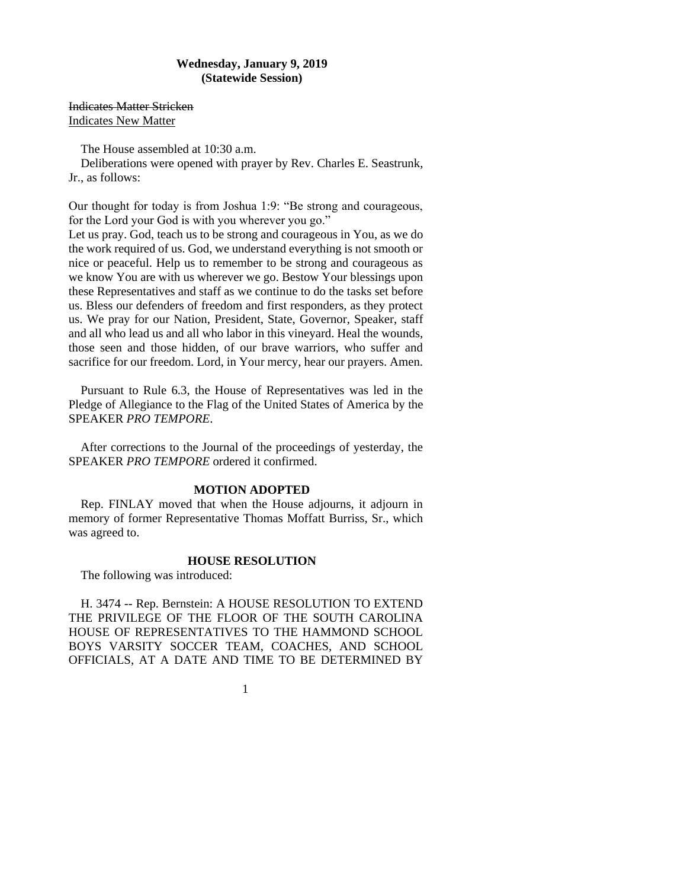# **Wednesday, January 9, 2019 (Statewide Session)**

Indicates Matter Stricken Indicates New Matter

The House assembled at 10:30 a.m.

Deliberations were opened with prayer by Rev. Charles E. Seastrunk, Jr., as follows:

Our thought for today is from Joshua 1:9: "Be strong and courageous, for the Lord your God is with you wherever you go."

Let us pray. God, teach us to be strong and courageous in You, as we do the work required of us. God, we understand everything is not smooth or nice or peaceful. Help us to remember to be strong and courageous as we know You are with us wherever we go. Bestow Your blessings upon these Representatives and staff as we continue to do the tasks set before us. Bless our defenders of freedom and first responders, as they protect us. We pray for our Nation, President, State, Governor, Speaker, staff and all who lead us and all who labor in this vineyard. Heal the wounds, those seen and those hidden, of our brave warriors, who suffer and sacrifice for our freedom. Lord, in Your mercy, hear our prayers. Amen.

Pursuant to Rule 6.3, the House of Representatives was led in the Pledge of Allegiance to the Flag of the United States of America by the SPEAKER *PRO TEMPORE*.

After corrections to the Journal of the proceedings of yesterday, the SPEAKER *PRO TEMPORE* ordered it confirmed.

# **MOTION ADOPTED**

Rep. FINLAY moved that when the House adjourns, it adjourn in memory of former Representative Thomas Moffatt Burriss, Sr., which was agreed to.

#### **HOUSE RESOLUTION**

The following was introduced:

H. 3474 -- Rep. Bernstein: A HOUSE RESOLUTION TO EXTEND THE PRIVILEGE OF THE FLOOR OF THE SOUTH CAROLINA HOUSE OF REPRESENTATIVES TO THE HAMMOND SCHOOL BOYS VARSITY SOCCER TEAM, COACHES, AND SCHOOL OFFICIALS, AT A DATE AND TIME TO BE DETERMINED BY

1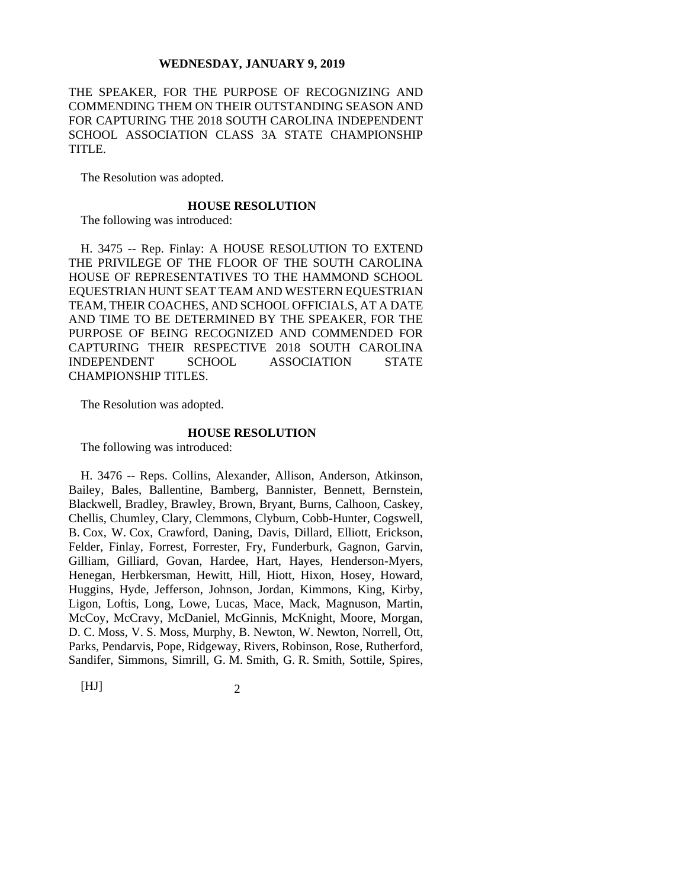THE SPEAKER, FOR THE PURPOSE OF RECOGNIZING AND COMMENDING THEM ON THEIR OUTSTANDING SEASON AND FOR CAPTURING THE 2018 SOUTH CAROLINA INDEPENDENT SCHOOL ASSOCIATION CLASS 3A STATE CHAMPIONSHIP TITLE.

The Resolution was adopted.

#### **HOUSE RESOLUTION**

The following was introduced:

H. 3475 -- Rep. Finlay: A HOUSE RESOLUTION TO EXTEND THE PRIVILEGE OF THE FLOOR OF THE SOUTH CAROLINA HOUSE OF REPRESENTATIVES TO THE HAMMOND SCHOOL EQUESTRIAN HUNT SEAT TEAM AND WESTERN EQUESTRIAN TEAM, THEIR COACHES, AND SCHOOL OFFICIALS, AT A DATE AND TIME TO BE DETERMINED BY THE SPEAKER, FOR THE PURPOSE OF BEING RECOGNIZED AND COMMENDED FOR CAPTURING THEIR RESPECTIVE 2018 SOUTH CAROLINA INDEPENDENT SCHOOL ASSOCIATION STATE CHAMPIONSHIP TITLES.

The Resolution was adopted.

#### **HOUSE RESOLUTION**

The following was introduced:

H. 3476 -- Reps. Collins, Alexander, Allison, Anderson, Atkinson, Bailey, Bales, Ballentine, Bamberg, Bannister, Bennett, Bernstein, Blackwell, Bradley, Brawley, Brown, Bryant, Burns, Calhoon, Caskey, Chellis, Chumley, Clary, Clemmons, Clyburn, Cobb-Hunter, Cogswell, B. Cox, W. Cox, Crawford, Daning, Davis, Dillard, Elliott, Erickson, Felder, Finlay, Forrest, Forrester, Fry, Funderburk, Gagnon, Garvin, Gilliam, Gilliard, Govan, Hardee, Hart, Hayes, Henderson-Myers, Henegan, Herbkersman, Hewitt, Hill, Hiott, Hixon, Hosey, Howard, Huggins, Hyde, Jefferson, Johnson, Jordan, Kimmons, King, Kirby, Ligon, Loftis, Long, Lowe, Lucas, Mace, Mack, Magnuson, Martin, McCoy, McCravy, McDaniel, McGinnis, McKnight, Moore, Morgan, D. C. Moss, V. S. Moss, Murphy, B. Newton, W. Newton, Norrell, Ott, Parks, Pendarvis, Pope, Ridgeway, Rivers, Robinson, Rose, Rutherford, Sandifer, Simmons, Simrill, G. M. Smith, G. R. Smith, Sottile, Spires,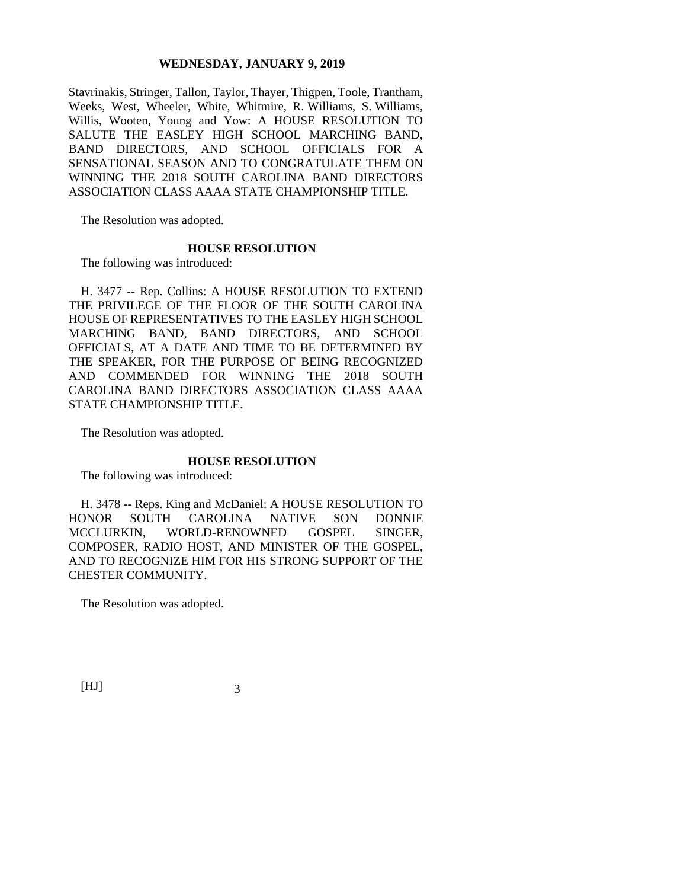Stavrinakis, Stringer, Tallon, Taylor, Thayer, Thigpen, Toole, Trantham, Weeks, West, Wheeler, White, Whitmire, R. Williams, S. Williams, Willis, Wooten, Young and Yow: A HOUSE RESOLUTION TO SALUTE THE EASLEY HIGH SCHOOL MARCHING BAND, BAND DIRECTORS, AND SCHOOL OFFICIALS FOR A SENSATIONAL SEASON AND TO CONGRATULATE THEM ON WINNING THE 2018 SOUTH CAROLINA BAND DIRECTORS ASSOCIATION CLASS AAAA STATE CHAMPIONSHIP TITLE.

The Resolution was adopted.

#### **HOUSE RESOLUTION**

The following was introduced:

H. 3477 -- Rep. Collins: A HOUSE RESOLUTION TO EXTEND THE PRIVILEGE OF THE FLOOR OF THE SOUTH CAROLINA HOUSE OF REPRESENTATIVES TO THE EASLEY HIGH SCHOOL MARCHING BAND, BAND DIRECTORS, AND SCHOOL OFFICIALS, AT A DATE AND TIME TO BE DETERMINED BY THE SPEAKER, FOR THE PURPOSE OF BEING RECOGNIZED AND COMMENDED FOR WINNING THE 2018 SOUTH CAROLINA BAND DIRECTORS ASSOCIATION CLASS AAAA STATE CHAMPIONSHIP TITLE.

The Resolution was adopted.

## **HOUSE RESOLUTION**

The following was introduced:

H. 3478 -- Reps. King and McDaniel: A HOUSE RESOLUTION TO HONOR SOUTH CAROLINA NATIVE SON DONNIE MCCLURKIN, WORLD-RENOWNED GOSPEL SINGER, COMPOSER, RADIO HOST, AND MINISTER OF THE GOSPEL, AND TO RECOGNIZE HIM FOR HIS STRONG SUPPORT OF THE CHESTER COMMUNITY.

The Resolution was adopted.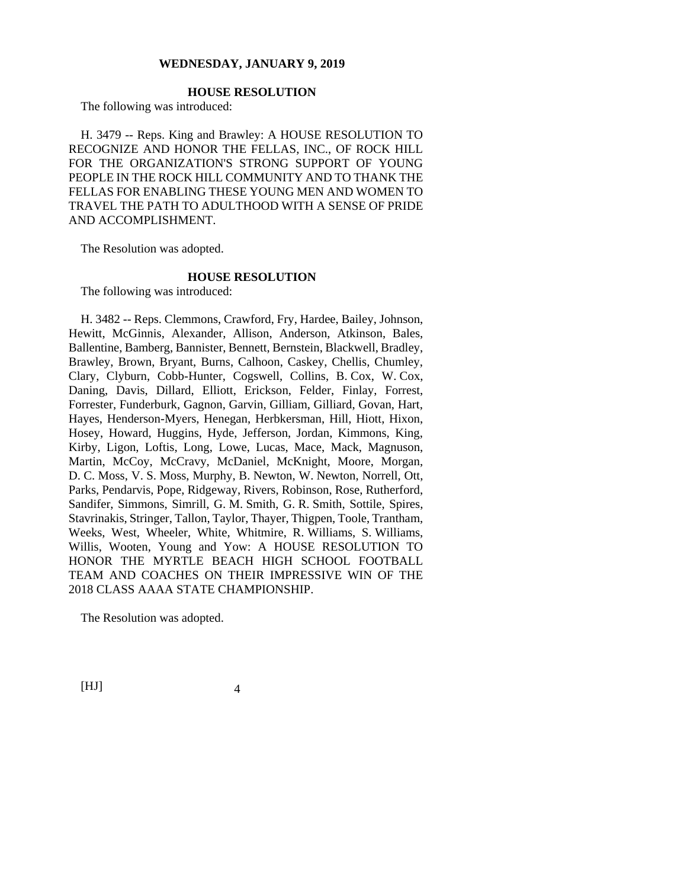# **HOUSE RESOLUTION**

The following was introduced:

H. 3479 -- Reps. King and Brawley: A HOUSE RESOLUTION TO RECOGNIZE AND HONOR THE FELLAS, INC., OF ROCK HILL FOR THE ORGANIZATION'S STRONG SUPPORT OF YOUNG PEOPLE IN THE ROCK HILL COMMUNITY AND TO THANK THE FELLAS FOR ENABLING THESE YOUNG MEN AND WOMEN TO TRAVEL THE PATH TO ADULTHOOD WITH A SENSE OF PRIDE AND ACCOMPLISHMENT.

The Resolution was adopted.

# **HOUSE RESOLUTION**

The following was introduced:

H. 3482 -- Reps. Clemmons, Crawford, Fry, Hardee, Bailey, Johnson, Hewitt, McGinnis, Alexander, Allison, Anderson, Atkinson, Bales, Ballentine, Bamberg, Bannister, Bennett, Bernstein, Blackwell, Bradley, Brawley, Brown, Bryant, Burns, Calhoon, Caskey, Chellis, Chumley, Clary, Clyburn, Cobb-Hunter, Cogswell, Collins, B. Cox, W. Cox, Daning, Davis, Dillard, Elliott, Erickson, Felder, Finlay, Forrest, Forrester, Funderburk, Gagnon, Garvin, Gilliam, Gilliard, Govan, Hart, Hayes, Henderson-Myers, Henegan, Herbkersman, Hill, Hiott, Hixon, Hosey, Howard, Huggins, Hyde, Jefferson, Jordan, Kimmons, King, Kirby, Ligon, Loftis, Long, Lowe, Lucas, Mace, Mack, Magnuson, Martin, McCoy, McCravy, McDaniel, McKnight, Moore, Morgan, D. C. Moss, V. S. Moss, Murphy, B. Newton, W. Newton, Norrell, Ott, Parks, Pendarvis, Pope, Ridgeway, Rivers, Robinson, Rose, Rutherford, Sandifer, Simmons, Simrill, G. M. Smith, G. R. Smith, Sottile, Spires, Stavrinakis, Stringer, Tallon, Taylor, Thayer, Thigpen, Toole, Trantham, Weeks, West, Wheeler, White, Whitmire, R. Williams, S. Williams, Willis, Wooten, Young and Yow: A HOUSE RESOLUTION TO HONOR THE MYRTLE BEACH HIGH SCHOOL FOOTBALL TEAM AND COACHES ON THEIR IMPRESSIVE WIN OF THE 2018 CLASS AAAA STATE CHAMPIONSHIP.

The Resolution was adopted.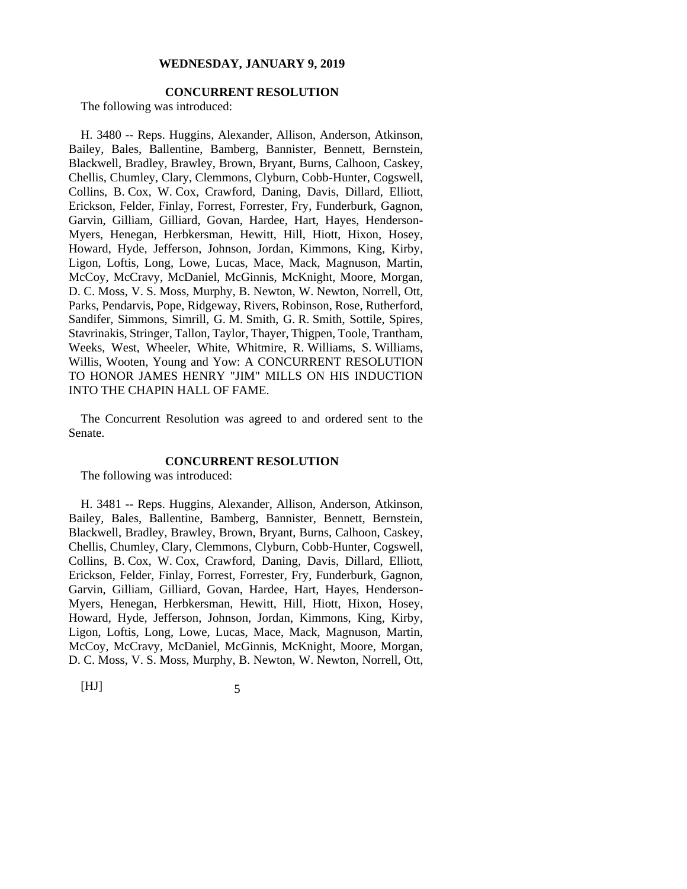# **CONCURRENT RESOLUTION**

The following was introduced:

H. 3480 -- Reps. Huggins, Alexander, Allison, Anderson, Atkinson, Bailey, Bales, Ballentine, Bamberg, Bannister, Bennett, Bernstein, Blackwell, Bradley, Brawley, Brown, Bryant, Burns, Calhoon, Caskey, Chellis, Chumley, Clary, Clemmons, Clyburn, Cobb-Hunter, Cogswell, Collins, B. Cox, W. Cox, Crawford, Daning, Davis, Dillard, Elliott, Erickson, Felder, Finlay, Forrest, Forrester, Fry, Funderburk, Gagnon, Garvin, Gilliam, Gilliard, Govan, Hardee, Hart, Hayes, Henderson-Myers, Henegan, Herbkersman, Hewitt, Hill, Hiott, Hixon, Hosey, Howard, Hyde, Jefferson, Johnson, Jordan, Kimmons, King, Kirby, Ligon, Loftis, Long, Lowe, Lucas, Mace, Mack, Magnuson, Martin, McCoy, McCravy, McDaniel, McGinnis, McKnight, Moore, Morgan, D. C. Moss, V. S. Moss, Murphy, B. Newton, W. Newton, Norrell, Ott, Parks, Pendarvis, Pope, Ridgeway, Rivers, Robinson, Rose, Rutherford, Sandifer, Simmons, Simrill, G. M. Smith, G. R. Smith, Sottile, Spires, Stavrinakis, Stringer, Tallon, Taylor, Thayer, Thigpen, Toole, Trantham, Weeks, West, Wheeler, White, Whitmire, R. Williams, S. Williams, Willis, Wooten, Young and Yow: A CONCURRENT RESOLUTION TO HONOR JAMES HENRY "JIM" MILLS ON HIS INDUCTION INTO THE CHAPIN HALL OF FAME.

The Concurrent Resolution was agreed to and ordered sent to the Senate.

#### **CONCURRENT RESOLUTION**

The following was introduced:

H. 3481 -- Reps. Huggins, Alexander, Allison, Anderson, Atkinson, Bailey, Bales, Ballentine, Bamberg, Bannister, Bennett, Bernstein, Blackwell, Bradley, Brawley, Brown, Bryant, Burns, Calhoon, Caskey, Chellis, Chumley, Clary, Clemmons, Clyburn, Cobb-Hunter, Cogswell, Collins, B. Cox, W. Cox, Crawford, Daning, Davis, Dillard, Elliott, Erickson, Felder, Finlay, Forrest, Forrester, Fry, Funderburk, Gagnon, Garvin, Gilliam, Gilliard, Govan, Hardee, Hart, Hayes, Henderson-Myers, Henegan, Herbkersman, Hewitt, Hill, Hiott, Hixon, Hosey, Howard, Hyde, Jefferson, Johnson, Jordan, Kimmons, King, Kirby, Ligon, Loftis, Long, Lowe, Lucas, Mace, Mack, Magnuson, Martin, McCoy, McCravy, McDaniel, McGinnis, McKnight, Moore, Morgan, D. C. Moss, V. S. Moss, Murphy, B. Newton, W. Newton, Norrell, Ott,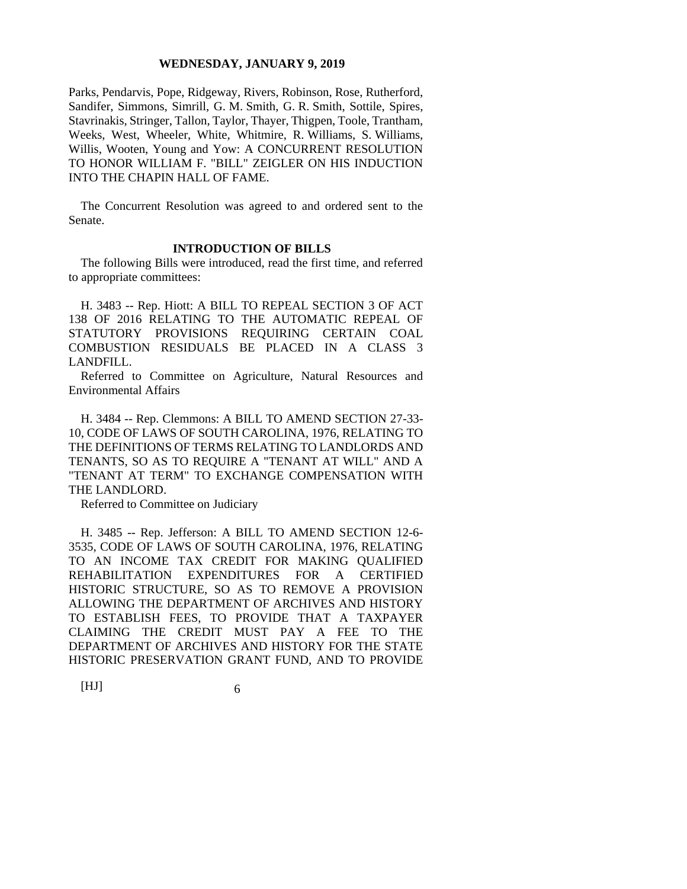Parks, Pendarvis, Pope, Ridgeway, Rivers, Robinson, Rose, Rutherford, Sandifer, Simmons, Simrill, G. M. Smith, G. R. Smith, Sottile, Spires, Stavrinakis, Stringer, Tallon, Taylor, Thayer, Thigpen, Toole, Trantham, Weeks, West, Wheeler, White, Whitmire, R. Williams, S. Williams, Willis, Wooten, Young and Yow: A CONCURRENT RESOLUTION TO HONOR WILLIAM F. "BILL" ZEIGLER ON HIS INDUCTION INTO THE CHAPIN HALL OF FAME.

The Concurrent Resolution was agreed to and ordered sent to the Senate.

## **INTRODUCTION OF BILLS**

The following Bills were introduced, read the first time, and referred to appropriate committees:

H. 3483 -- Rep. Hiott: A BILL TO REPEAL SECTION 3 OF ACT 138 OF 2016 RELATING TO THE AUTOMATIC REPEAL OF STATUTORY PROVISIONS REQUIRING CERTAIN COAL COMBUSTION RESIDUALS BE PLACED IN A CLASS 3 LANDFILL.

Referred to Committee on Agriculture, Natural Resources and Environmental Affairs

H. 3484 -- Rep. Clemmons: A BILL TO AMEND SECTION 27-33- 10, CODE OF LAWS OF SOUTH CAROLINA, 1976, RELATING TO THE DEFINITIONS OF TERMS RELATING TO LANDLORDS AND TENANTS, SO AS TO REQUIRE A "TENANT AT WILL" AND A "TENANT AT TERM" TO EXCHANGE COMPENSATION WITH THE LANDLORD.

Referred to Committee on Judiciary

H. 3485 -- Rep. Jefferson: A BILL TO AMEND SECTION 12-6- 3535, CODE OF LAWS OF SOUTH CAROLINA, 1976, RELATING TO AN INCOME TAX CREDIT FOR MAKING QUALIFIED REHABILITATION EXPENDITURES FOR A CERTIFIED HISTORIC STRUCTURE, SO AS TO REMOVE A PROVISION ALLOWING THE DEPARTMENT OF ARCHIVES AND HISTORY TO ESTABLISH FEES, TO PROVIDE THAT A TAXPAYER CLAIMING THE CREDIT MUST PAY A FEE TO THE DEPARTMENT OF ARCHIVES AND HISTORY FOR THE STATE HISTORIC PRESERVATION GRANT FUND, AND TO PROVIDE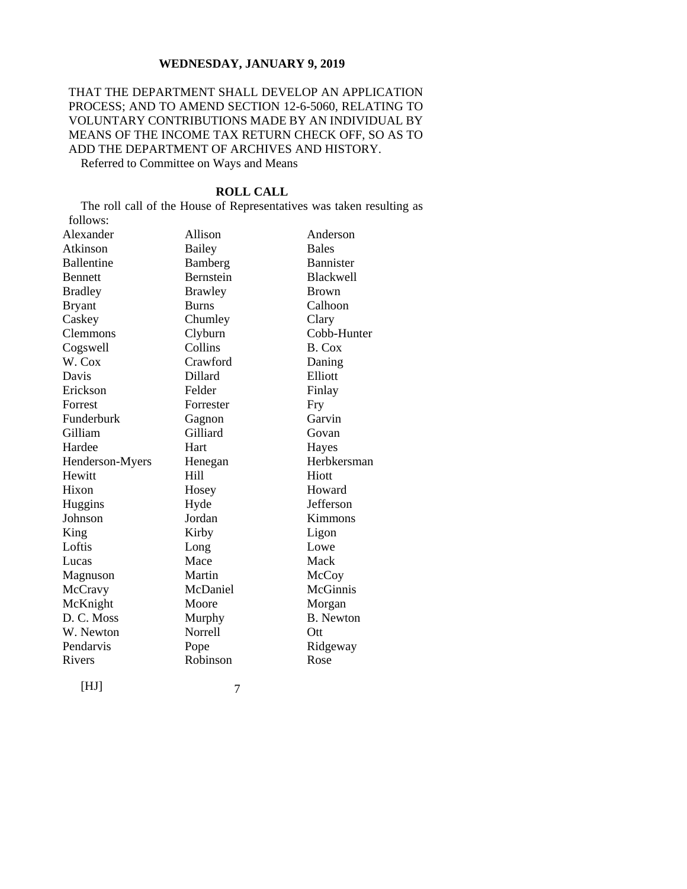# THAT THE DEPARTMENT SHALL DEVELOP AN APPLICATION PROCESS; AND TO AMEND SECTION 12-6-5060, RELATING TO VOLUNTARY CONTRIBUTIONS MADE BY AN INDIVIDUAL BY MEANS OF THE INCOME TAX RETURN CHECK OFF, SO AS TO ADD THE DEPARTMENT OF ARCHIVES AND HISTORY.

Referred to Committee on Ways and Means

[HJ] 7 **ROLL CALL** The roll call of the House of Representatives was taken resulting as follows: Alexander Allison Anderson Atkinson Bailey Bales Ballentine Bamberg Bannister Bennett Bernstein Blackwell Bradley Brawley Brown Bryant Burns Calhoon Caskey Chumley Clary Clemmons Clyburn Cobb-Hunter Cogswell Collins B. Cox W. Cox Crawford Daning Davis Dillard Elliott Erickson Felder Finlay Forrest Forrester Fry Funderburk Gagnon Garvin Gilliam Gilliard Govan Hardee Hart Haves Henderson-Myers Henegan Herbkersman Hewitt Hill Hiott Hixon Hosey Howard Huggins Hyde Jefferson Johnson Jordan Kimmons King Kirby Ligon Loftis Long Lowe Lucas Mace Mack Magnuson Martin McCoy McCravy McDaniel McGinnis McKnight Moore Morgan D. C. Moss Murphy B. Newton W. Newton Norrell Ott Pendarvis Pope Ridgeway Rivers Robinson Rose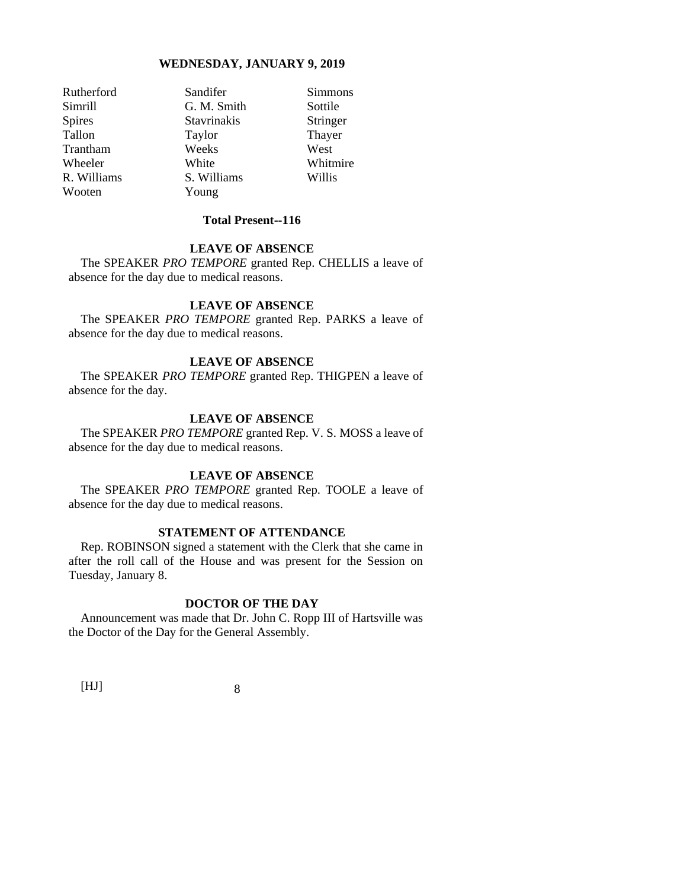Wooten Young

Rutherford Sandifer Simmons Simrill G. M. Smith Sottile Spires Stavrinakis Stringer Tallon Taylor Thayer Trantham Weeks West Wheeler White White Whitmire R. Williams S. Williams Willis

# **Total Present--116**

# **LEAVE OF ABSENCE**

The SPEAKER *PRO TEMPORE* granted Rep. CHELLIS a leave of absence for the day due to medical reasons.

## **LEAVE OF ABSENCE**

The SPEAKER *PRO TEMPORE* granted Rep. PARKS a leave of absence for the day due to medical reasons.

#### **LEAVE OF ABSENCE**

The SPEAKER *PRO TEMPORE* granted Rep. THIGPEN a leave of absence for the day.

### **LEAVE OF ABSENCE**

The SPEAKER *PRO TEMPORE* granted Rep. V. S. MOSS a leave of absence for the day due to medical reasons.

# **LEAVE OF ABSENCE**

The SPEAKER *PRO TEMPORE* granted Rep. TOOLE a leave of absence for the day due to medical reasons.

# **STATEMENT OF ATTENDANCE**

Rep. ROBINSON signed a statement with the Clerk that she came in after the roll call of the House and was present for the Session on Tuesday, January 8.

# **DOCTOR OF THE DAY**

Announcement was made that Dr. John C. Ropp III of Hartsville was the Doctor of the Day for the General Assembly.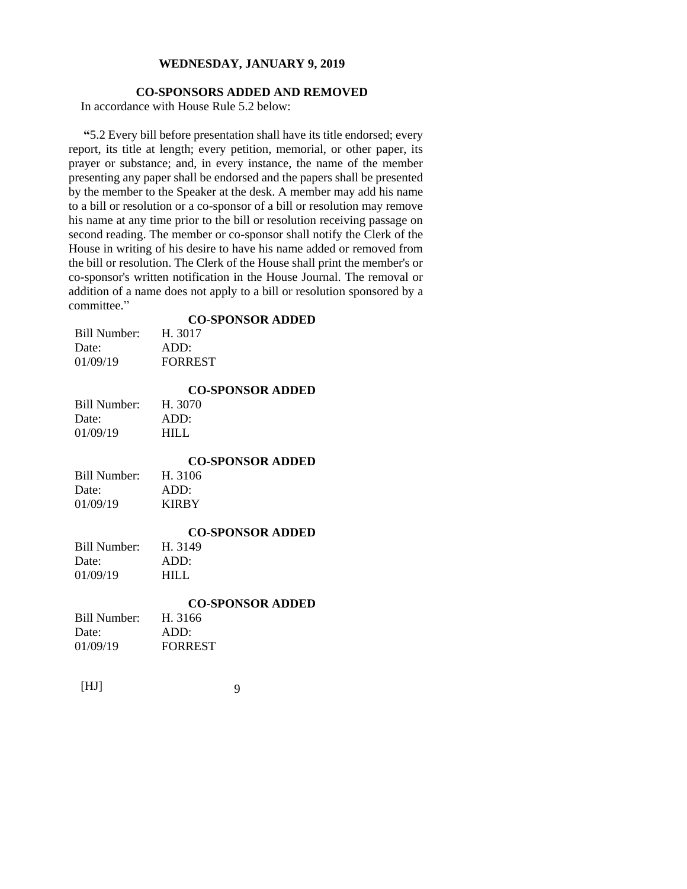# **CO-SPONSORS ADDED AND REMOVED**

In accordance with House Rule 5.2 below:

**"**5.2 Every bill before presentation shall have its title endorsed; every report, its title at length; every petition, memorial, or other paper, its prayer or substance; and, in every instance, the name of the member presenting any paper shall be endorsed and the papers shall be presented by the member to the Speaker at the desk. A member may add his name to a bill or resolution or a co-sponsor of a bill or resolution may remove his name at any time prior to the bill or resolution receiving passage on second reading. The member or co-sponsor shall notify the Clerk of the House in writing of his desire to have his name added or removed from the bill or resolution. The Clerk of the House shall print the member's or co-sponsor's written notification in the House Journal. The removal or addition of a name does not apply to a bill or resolution sponsored by a committee."

| <b>CO-SPONSOR ADDED</b> |
|-------------------------|
|-------------------------|

| H. 3017        |
|----------------|
| ADD:           |
| <b>FORREST</b> |
|                |

# **CO-SPONSOR ADDED**

| Bill Number: | H. 3070 |
|--------------|---------|
| Date:        | ADD:    |
| 01/09/19     | HILL.   |

# **CO-SPONSOR ADDED**

| Bill Number: | H. 3106      |
|--------------|--------------|
| Date:        | ADD:         |
| 01/09/19     | <b>KIRBY</b> |

## **CO-SPONSOR ADDED**

| Bill Number: | H. 3149 |
|--------------|---------|
| Date:        | ADD:    |
| 01/09/19     | HILL.   |

## **CO-SPONSOR ADDED**

| Bill Number: | H. 3166        |
|--------------|----------------|
| Date:        | ADD:           |
| 01/09/19     | <b>FORREST</b> |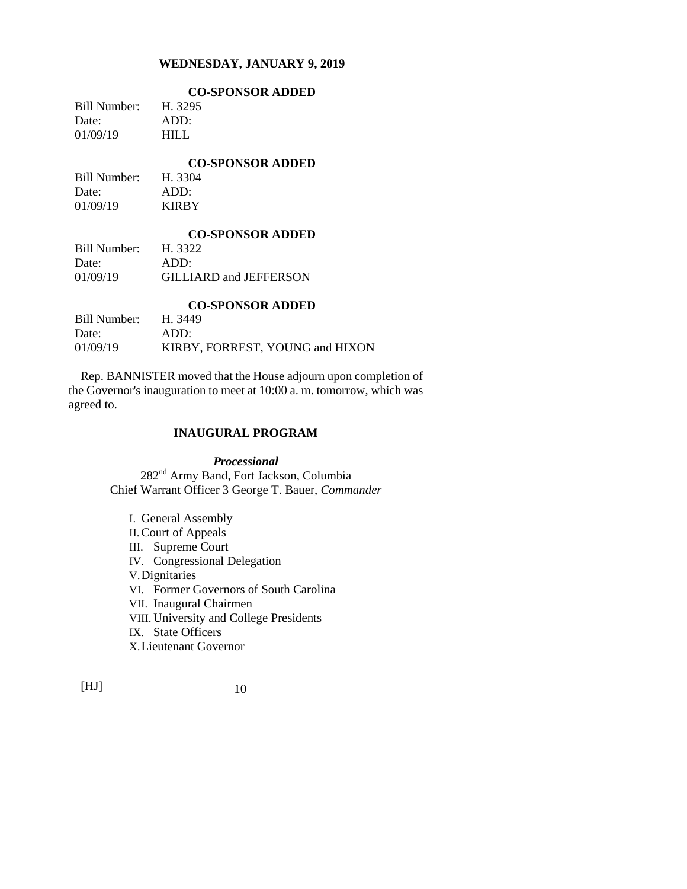|              | <b>CO-SPONSOR ADDED</b> |
|--------------|-------------------------|
| Bill Number: | H. 3295                 |
| Date:        | ADD:                    |
| 01/09/19     | HIL L                   |
|              |                         |

**CO-SPONSOR ADDED** Bill Number: H. 3304 Date: ADD: 01/09/19 KIRBY

## **CO-SPONSOR ADDED**

| Bill Number: | H. 3322                |
|--------------|------------------------|
| Date:        | ADD:                   |
| 01/09/19     | GILLIARD and JEFFERSON |

| <b>CO-SPONSOR ADDED</b> |                                 |  |
|-------------------------|---------------------------------|--|
| Bill Number:            | H. 3449                         |  |
| Date:                   | ADD:                            |  |
| 01/09/19                | KIRBY, FORREST, YOUNG and HIXON |  |

Rep. BANNISTER moved that the House adjourn upon completion of the Governor's inauguration to meet at 10:00 a. m. tomorrow, which was agreed to.

# **INAUGURAL PROGRAM**

*Processional* 282nd Army Band, Fort Jackson, Columbia Chief Warrant Officer 3 George T. Bauer, *Commander*

I. General Assembly II.Court of Appeals III. Supreme Court IV. Congressional Delegation V.Dignitaries VI. Former Governors of South Carolina VII. Inaugural Chairmen VIII. University and College Presidents IX. State Officers X.Lieutenant Governor

 $[HJ] \t10$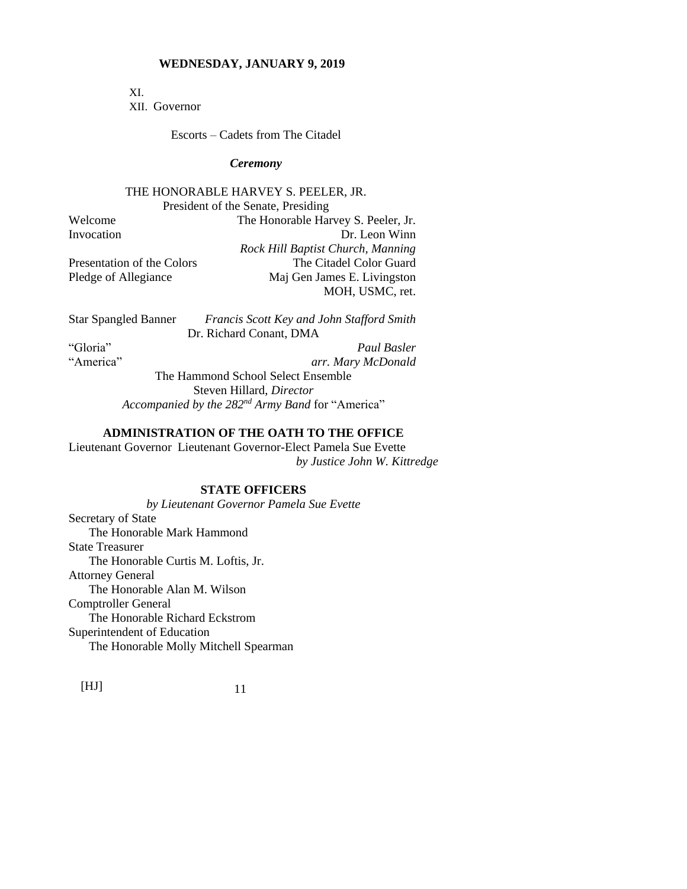XI.

XII. Governor

Escorts – Cadets from The Citadel

#### *Ceremony*

# THE HONORABLE HARVEY S. PEELER, JR.

President of the Senate, Presiding

Welcome The Honorable Harvey S. Peeler, Jr. Invocation Dr. Leon Winn *Rock Hill Baptist Church, Manning* Presentation of the Colors The Citadel Color Guard Pledge of Allegiance Maj Gen James E. Livingston MOH, USMC, ret.

Star Spangled Banner *Francis Scott Key and John Stafford Smith* Dr. Richard Conant, DMA "Gloria" *Paul Basler*

"America" *arr. Mary McDonald* The Hammond School Select Ensemble Steven Hillard, *Director Accompanied by the 282nd Army Band* for "America"

# **ADMINISTRATION OF THE OATH TO THE OFFICE**

Lieutenant Governor Lieutenant Governor-Elect Pamela Sue Evette *by Justice John W. Kittredge*

# **STATE OFFICERS**

*by Lieutenant Governor Pamela Sue Evette* Secretary of State The Honorable Mark Hammond State Treasurer The Honorable Curtis M. Loftis, Jr. Attorney General The Honorable Alan M. Wilson Comptroller General The Honorable Richard Eckstrom Superintendent of Education The Honorable Molly Mitchell Spearman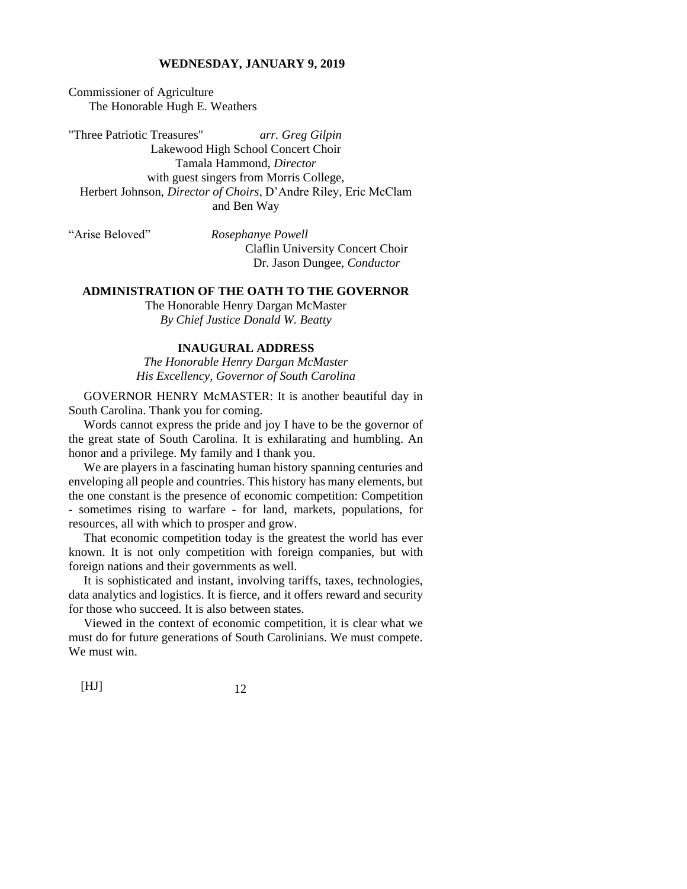Commissioner of Agriculture The Honorable Hugh E. Weathers

"Three Patriotic Treasures" *arr. Greg Gilpin* Lakewood High School Concert Choir Tamala Hammond, *Director* with guest singers from Morris College, Herbert Johnson, *Director of Choirs*, D'Andre Riley, Eric McClam and Ben Way

"Arise Beloved" *Rosephanye Powell* Claflin University Concert Choir Dr. Jason Dungee, *Conductor*

## **ADMINISTRATION OF THE OATH TO THE GOVERNOR**

The Honorable Henry Dargan McMaster *By Chief Justice Donald W. Beatty*

# **INAUGURAL ADDRESS**

*The Honorable Henry Dargan McMaster His Excellency, Governor of South Carolina*

GOVERNOR HENRY McMASTER: It is another beautiful day in South Carolina. Thank you for coming.

Words cannot express the pride and joy I have to be the governor of the great state of South Carolina. It is exhilarating and humbling. An honor and a privilege. My family and I thank you.

We are players in a fascinating human history spanning centuries and enveloping all people and countries. This history has many elements, but the one constant is the presence of economic competition: Competition - sometimes rising to warfare - for land, markets, populations, for resources, all with which to prosper and grow.

That economic competition today is the greatest the world has ever known. It is not only competition with foreign companies, but with foreign nations and their governments as well.

It is sophisticated and instant, involving tariffs, taxes, technologies, data analytics and logistics. It is fierce, and it offers reward and security for those who succeed. It is also between states.

Viewed in the context of economic competition, it is clear what we must do for future generations of South Carolinians. We must compete. We must win.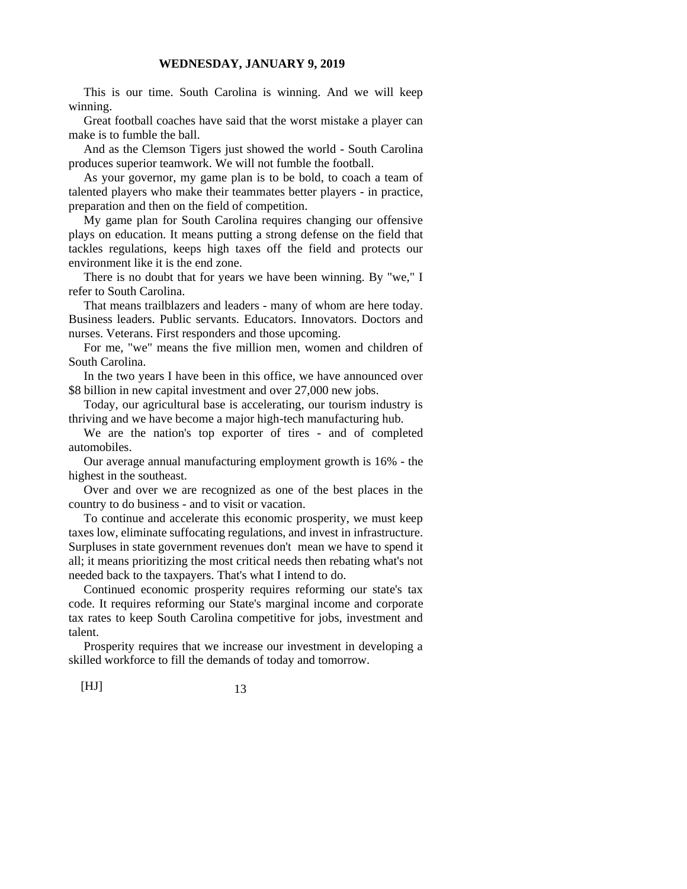This is our time. South Carolina is winning. And we will keep winning.

Great football coaches have said that the worst mistake a player can make is to fumble the ball.

And as the Clemson Tigers just showed the world - South Carolina produces superior teamwork. We will not fumble the football.

As your governor, my game plan is to be bold, to coach a team of talented players who make their teammates better players - in practice, preparation and then on the field of competition.

My game plan for South Carolina requires changing our offensive plays on education. It means putting a strong defense on the field that tackles regulations, keeps high taxes off the field and protects our environment like it is the end zone.

There is no doubt that for years we have been winning. By "we," I refer to South Carolina.

That means trailblazers and leaders - many of whom are here today. Business leaders. Public servants. Educators. Innovators. Doctors and nurses. Veterans. First responders and those upcoming.

For me, "we" means the five million men, women and children of South Carolina.

In the two years I have been in this office, we have announced over \$8 billion in new capital investment and over 27,000 new jobs.

Today, our agricultural base is accelerating, our tourism industry is thriving and we have become a major high-tech manufacturing hub.

We are the nation's top exporter of tires - and of completed automobiles.

Our average annual manufacturing employment growth is 16% - the highest in the southeast.

Over and over we are recognized as one of the best places in the country to do business - and to visit or vacation.

To continue and accelerate this economic prosperity, we must keep taxes low, eliminate suffocating regulations, and invest in infrastructure. Surpluses in state government revenues don't mean we have to spend it all; it means prioritizing the most critical needs then rebating what's not needed back to the taxpayers. That's what I intend to do.

Continued economic prosperity requires reforming our state's tax code. It requires reforming our State's marginal income and corporate tax rates to keep South Carolina competitive for jobs, investment and talent.

Prosperity requires that we increase our investment in developing a skilled workforce to fill the demands of today and tomorrow.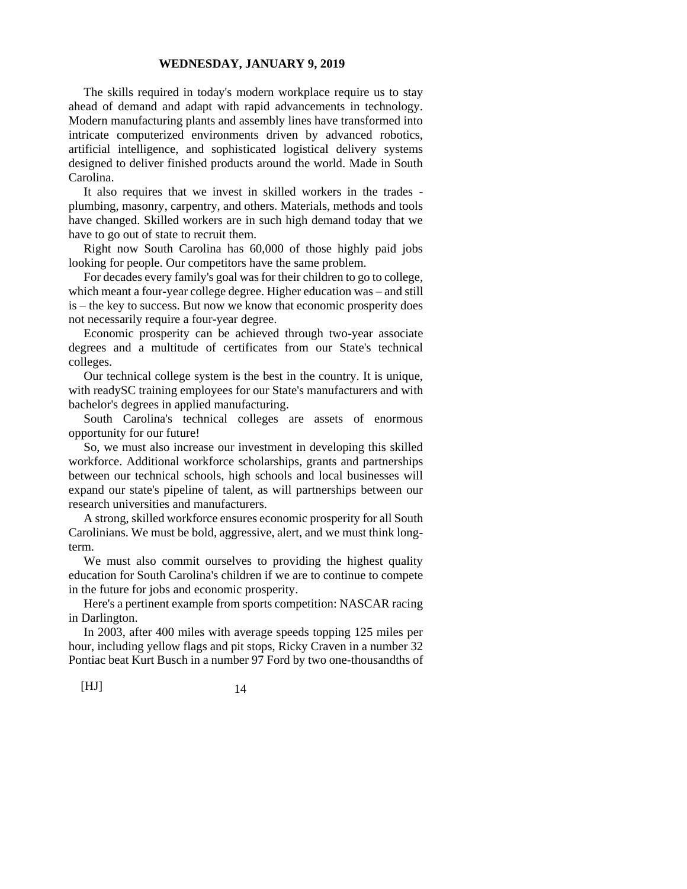The skills required in today's modern workplace require us to stay ahead of demand and adapt with rapid advancements in technology. Modern manufacturing plants and assembly lines have transformed into intricate computerized environments driven by advanced robotics, artificial intelligence, and sophisticated logistical delivery systems designed to deliver finished products around the world. Made in South Carolina.

It also requires that we invest in skilled workers in the trades plumbing, masonry, carpentry, and others. Materials, methods and tools have changed. Skilled workers are in such high demand today that we have to go out of state to recruit them.

Right now South Carolina has 60,000 of those highly paid jobs looking for people. Our competitors have the same problem.

For decades every family's goal was for their children to go to college, which meant a four-year college degree. Higher education was – and still is – the key to success. But now we know that economic prosperity does not necessarily require a four-year degree.

Economic prosperity can be achieved through two-year associate degrees and a multitude of certificates from our State's technical colleges.

Our technical college system is the best in the country. It is unique, with readySC training employees for our State's manufacturers and with bachelor's degrees in applied manufacturing.

South Carolina's technical colleges are assets of enormous opportunity for our future!

So, we must also increase our investment in developing this skilled workforce. Additional workforce scholarships, grants and partnerships between our technical schools, high schools and local businesses will expand our state's pipeline of talent, as will partnerships between our research universities and manufacturers.

A strong, skilled workforce ensures economic prosperity for all South Carolinians. We must be bold, aggressive, alert, and we must think longterm.

We must also commit ourselves to providing the highest quality education for South Carolina's children if we are to continue to compete in the future for jobs and economic prosperity.

Here's a pertinent example from sports competition: NASCAR racing in Darlington.

In 2003, after 400 miles with average speeds topping 125 miles per hour, including yellow flags and pit stops, Ricky Craven in a number 32 Pontiac beat Kurt Busch in a number 97 Ford by two one-thousandths of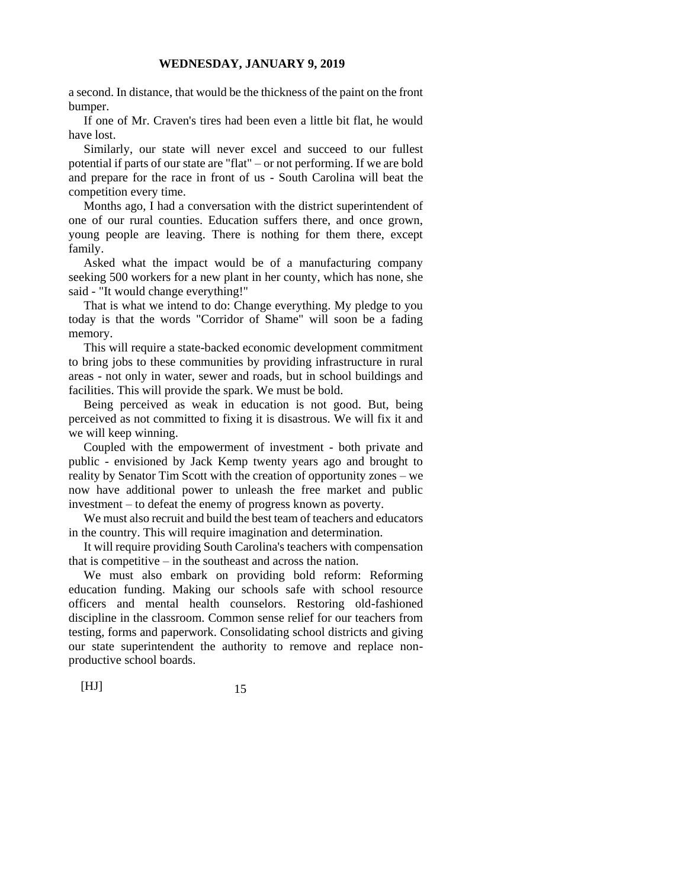a second. In distance, that would be the thickness of the paint on the front bumper.

If one of Mr. Craven's tires had been even a little bit flat, he would have lost.

Similarly, our state will never excel and succeed to our fullest potential if parts of our state are "flat" – or not performing. If we are bold and prepare for the race in front of us - South Carolina will beat the competition every time.

Months ago, I had a conversation with the district superintendent of one of our rural counties. Education suffers there, and once grown, young people are leaving. There is nothing for them there, except family.

Asked what the impact would be of a manufacturing company seeking 500 workers for a new plant in her county, which has none, she said - "It would change everything!"

That is what we intend to do: Change everything. My pledge to you today is that the words "Corridor of Shame" will soon be a fading memory.

This will require a state-backed economic development commitment to bring jobs to these communities by providing infrastructure in rural areas - not only in water, sewer and roads, but in school buildings and facilities. This will provide the spark. We must be bold.

Being perceived as weak in education is not good. But, being perceived as not committed to fixing it is disastrous. We will fix it and we will keep winning.

Coupled with the empowerment of investment - both private and public - envisioned by Jack Kemp twenty years ago and brought to reality by Senator Tim Scott with the creation of opportunity zones – we now have additional power to unleash the free market and public investment – to defeat the enemy of progress known as poverty.

We must also recruit and build the best team of teachers and educators in the country. This will require imagination and determination.

It will require providing South Carolina's teachers with compensation that is competitive – in the southeast and across the nation.

We must also embark on providing bold reform: Reforming education funding. Making our schools safe with school resource officers and mental health counselors. Restoring old-fashioned discipline in the classroom. Common sense relief for our teachers from testing, forms and paperwork. Consolidating school districts and giving our state superintendent the authority to remove and replace nonproductive school boards.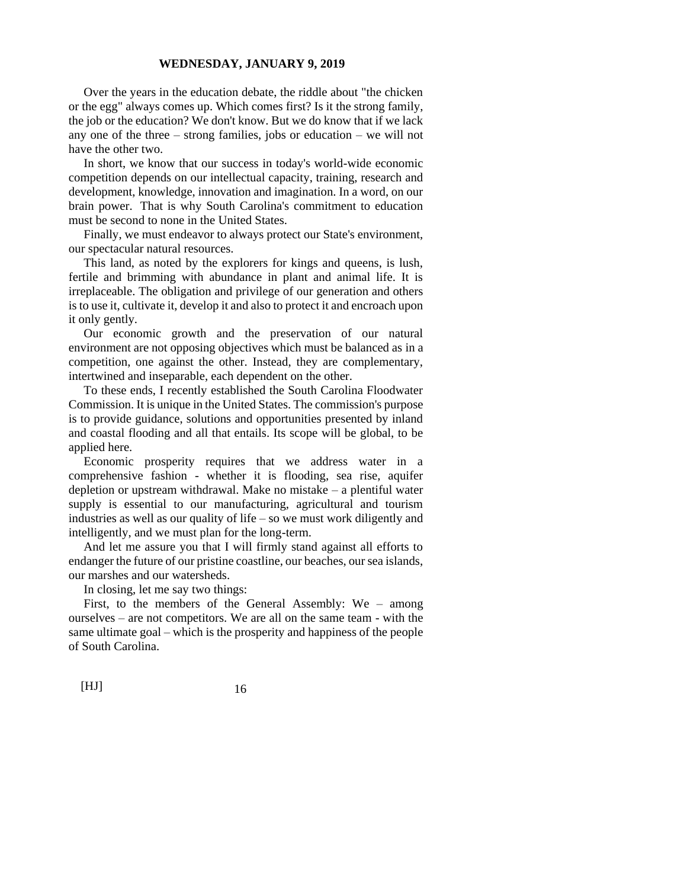Over the years in the education debate, the riddle about "the chicken or the egg" always comes up. Which comes first? Is it the strong family, the job or the education? We don't know. But we do know that if we lack any one of the three – strong families, jobs or education – we will not have the other two.

In short, we know that our success in today's world-wide economic competition depends on our intellectual capacity, training, research and development, knowledge, innovation and imagination. In a word, on our brain power. That is why South Carolina's commitment to education must be second to none in the United States.

Finally, we must endeavor to always protect our State's environment, our spectacular natural resources.

This land, as noted by the explorers for kings and queens, is lush, fertile and brimming with abundance in plant and animal life. It is irreplaceable. The obligation and privilege of our generation and others is to use it, cultivate it, develop it and also to protect it and encroach upon it only gently.

Our economic growth and the preservation of our natural environment are not opposing objectives which must be balanced as in a competition, one against the other. Instead, they are complementary, intertwined and inseparable, each dependent on the other.

To these ends, I recently established the South Carolina Floodwater Commission. It is unique in the United States. The commission's purpose is to provide guidance, solutions and opportunities presented by inland and coastal flooding and all that entails. Its scope will be global, to be applied here.

Economic prosperity requires that we address water in a comprehensive fashion - whether it is flooding, sea rise, aquifer depletion or upstream withdrawal. Make no mistake – a plentiful water supply is essential to our manufacturing, agricultural and tourism industries as well as our quality of life – so we must work diligently and intelligently, and we must plan for the long-term.

And let me assure you that I will firmly stand against all efforts to endanger the future of our pristine coastline, our beaches, our sea islands, our marshes and our watersheds.

In closing, let me say two things:

First, to the members of the General Assembly: We – among ourselves – are not competitors. We are all on the same team - with the same ultimate goal – which is the prosperity and happiness of the people of South Carolina.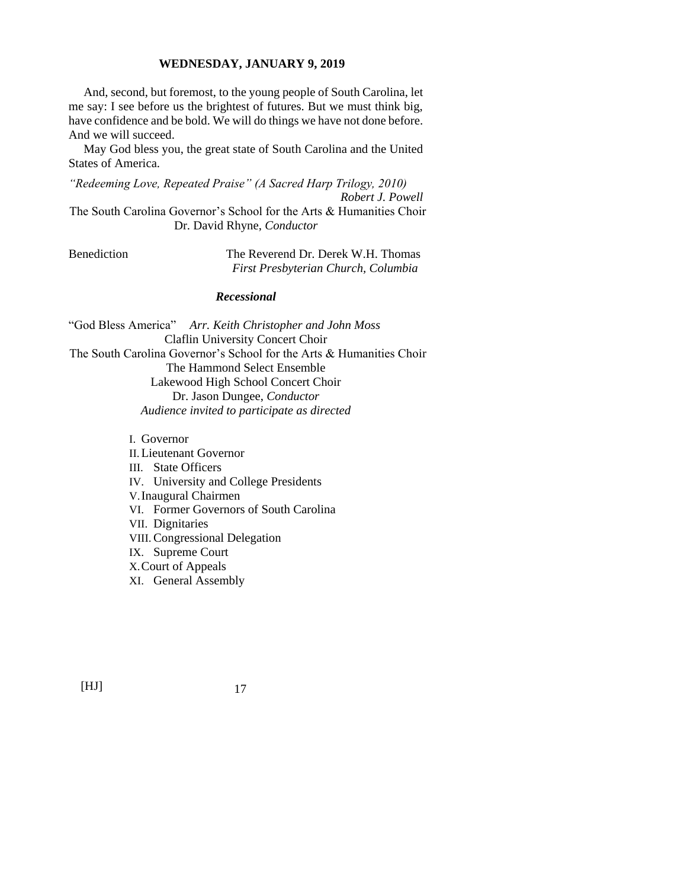And, second, but foremost, to the young people of South Carolina, let me say: I see before us the brightest of futures. But we must think big, have confidence and be bold. We will do things we have not done before. And we will succeed.

May God bless you, the great state of South Carolina and the United States of America.

*"Redeeming Love, Repeated Praise" (A Sacred Harp Trilogy, 2010) Robert J. Powell*

The South Carolina Governor's School for the Arts & Humanities Choir Dr. David Rhyne, *Conductor*

Benediction The Reverend Dr. Derek W.H. Thomas *First Presbyterian Church, Columbia*

## *Recessional*

"God Bless America" *Arr. Keith Christopher and John Moss* Claflin University Concert Choir The South Carolina Governor's School for the Arts & Humanities Choir The Hammond Select Ensemble Lakewood High School Concert Choir Dr. Jason Dungee, *Conductor Audience invited to participate as directed*

I. Governor

II.Lieutenant Governor III. State Officers IV. University and College Presidents V.Inaugural Chairmen VI. Former Governors of South Carolina VII. Dignitaries VIII.Congressional Delegation IX. Supreme Court X.Court of Appeals XI. General Assembly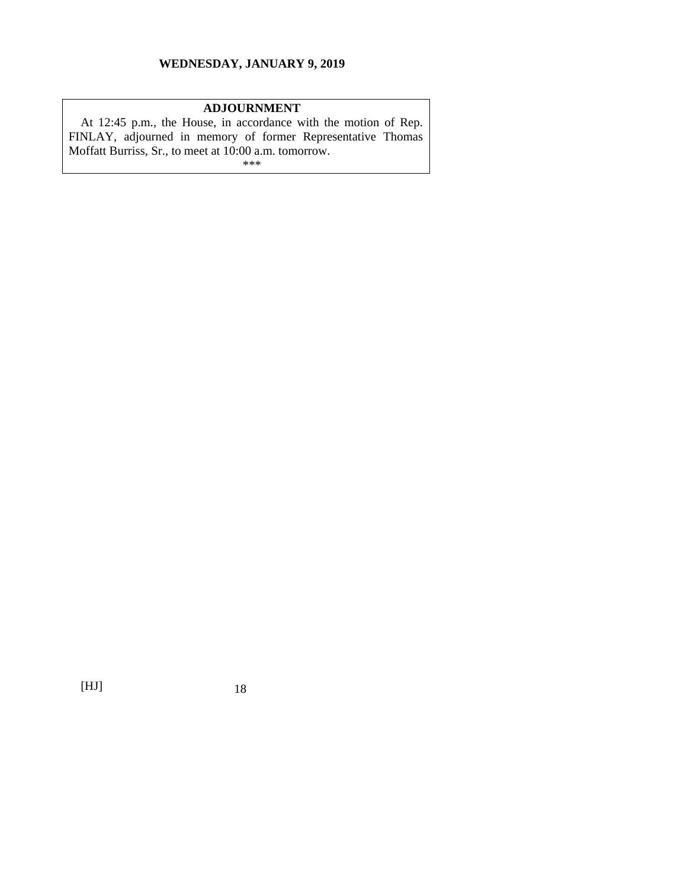# **ADJOURNMENT**

At 12:45 p.m., the House, in accordance with the motion of Rep. FINLAY, adjourned in memory of former Representative Thomas Moffatt Burriss, Sr., to meet at 10:00 a.m. tomorrow. \*\*\*